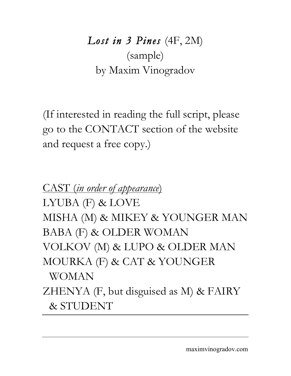*Lost in 3 Pines* (4F, 2M) (sample) by Maxim Vinogradov

(If interested in reading the full script, please go to the CONTACT section of the website and request a free copy.)

CAST (*in order of appearance*) LYUBA (F) & LOVE MISHA (M) & MIKEY & YOUNGER MAN BABA (F) & OLDER WOMAN VOLKOV (M) & LUPO & OLDER MAN MOURKA (F) & CAT & YOUNGER WOMAN ZHENYA (F, but disguised as M) & FAIRY & STUDENT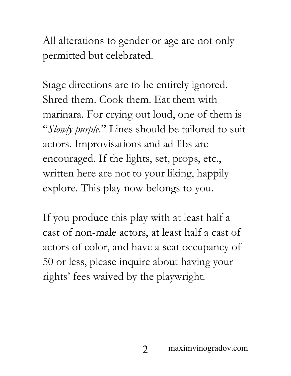All alterations to gender or age are not only permitted but celebrated.

Stage directions are to be entirely ignored. Shred them. Cook them. Eat them with marinara. For crying out loud, one of them is "*Slowly purple*." Lines should be tailored to suit actors. Improvisations and ad-libs are encouraged. If the lights, set, props, etc., written here are not to your liking, happily explore. This play now belongs to you.

If you produce this play with at least half a cast of non-male actors, at least half a cast of actors of color, and have a seat occupancy of 50 or less, please inquire about having your rights' fees waived by the playwright.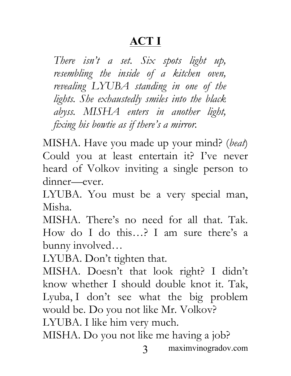## **ACT I**

*There isn't a set. Six spots light up, resembling the inside of a kitchen oven, revealing LYUBA standing in one of the lights. She exhaustedly smiles into the black abyss. MISHA enters in another light, fixing his bowtie as if there's a mirror.*

MISHA. Have you made up your mind? (*beat*) Could you at least entertain it? I've never heard of Volkov inviting a single person to dinner—ever.

LYUBA. You must be a very special man, Misha.

MISHA. There's no need for all that. Tak. How do I do this…? I am sure there's a bunny involved…

LYUBA. Don't tighten that.

MISHA. Doesn't that look right? I didn't know whether I should double knot it. Tak, Lyuba, I don't see what the big problem would be. Do you not like Mr. Volkov? LYUBA. I like him very much.

MISHA. Do you not like me having a job?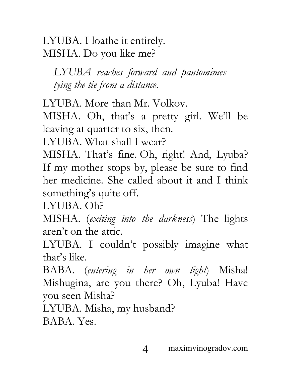LYUBA. I loathe it entirely. MISHA. Do you like me?

*LYUBA reaches forward and pantomimes tying the tie from a distance.*

LYUBA. More than Mr. Volkov.

MISHA. Oh, that's a pretty girl. We'll be leaving at quarter to six, then.

LYUBA. What shall I wear?

MISHA. That's fine. Oh, right! And, Lyuba? If my mother stops by, please be sure to find her medicine. She called about it and I think something's quite off.

LYUBA. Oh?

MISHA. (*exiting into the darkness*) The lights aren't on the attic.

LYUBA. I couldn't possibly imagine what that's like.

BABA. (*entering in her own light*) Misha! Mishugina, are you there? Oh, Lyuba! Have you seen Misha?

LYUBA. Misha, my husband?

BABA. Yes.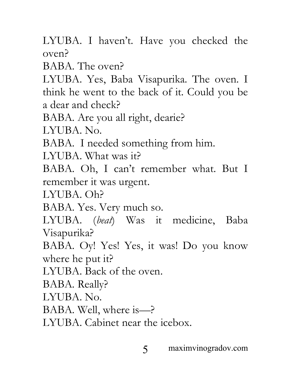LYUBA. I haven't. Have you checked the oven?

BABA. The oven?

LYUBA. Yes, Baba Visapurika. The oven. I think he went to the back of it. Could you be a dear and check?

BABA. Are you all right, dearie?

LYUBA. No.

BABA. I needed something from him.

LYUBA. What was it?

BABA. Oh, I can't remember what. But I remember it was urgent.

LYUBA. Oh?

BABA. Yes. Very much so.

LYUBA. (*beat*) Was it medicine, Baba Visapurika?

BABA. Oy! Yes! Yes, it was! Do you know where he put it?

LYUBA. Back of the oven.

BABA. Really?

LYUBA. No.

BABA. Well, where is—?

LYUBA. Cabinet near the icebox.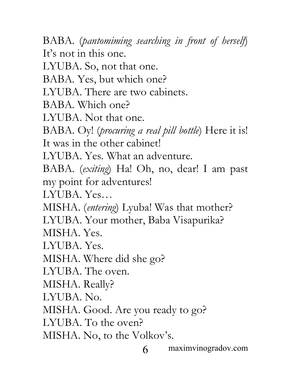6 maximvinogradov.com BABA. (*pantomiming searching in front of herself*) It's not in this one. LYUBA. So, not that one. BABA. Yes, but which one? LYUBA. There are two cabinets. BABA. Which one? LYUBA. Not that one. BABA. Oy! (*procuring a real pill bottle*) Here it is! It was in the other cabinet! LYUBA. Yes. What an adventure. BABA. (*exiting*) Ha! Oh, no, dear! I am past my point for adventures! LYUBA. Yes… MISHA. (*entering*) Lyuba! Was that mother? LYUBA. Your mother, Baba Visapurika? MISHA. Yes. LYUBA. Yes. MISHA. Where did she go? LYUBA. The oven. MISHA. Really? LYUBA. No. MISHA. Good. Are you ready to go? LYUBA. To the oven? MISHA. No, to the Volkov's.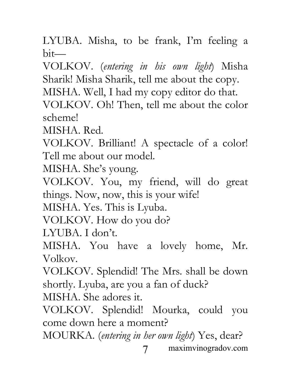LYUBA. Misha, to be frank, I'm feeling a bit—

VOLKOV. (*entering in his own light*) Misha Sharik! Misha Sharik, tell me about the copy. MISHA. Well, I had my copy editor do that. VOLKOV. Oh! Then, tell me about the color scheme!

MISHA. Red.

VOLKOV. Brilliant! A spectacle of a color! Tell me about our model.

MISHA. She's young.

VOLKOV. You, my friend, will do great things. Now, now, this is your wife!

MISHA. Yes. This is Lyuba.

VOLKOV. How do you do?

LYUBA. I don't.

MISHA. You have a lovely home, Mr. Volkov.

VOLKOV. Splendid! The Mrs. shall be down shortly. Lyuba, are you a fan of duck?

MISHA. She adores it.

VOLKOV. Splendid! Mourka, could you come down here a moment?

7 maximvinogradov.com MOURKA. (*entering in her own light*) Yes, dear?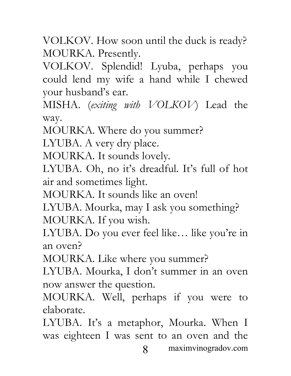VOLKOV. How soon until the duck is ready? MOURKA. Presently.

VOLKOV. Splendid! Lyuba, perhaps you could lend my wife a hand while I chewed your husband's ear.

MISHA. (*exiting with VOLKOV*) Lead the way.

MOURKA. Where do you summer?

LYUBA. A very dry place.

MOURKA. It sounds lovely.

LYUBA. Oh, no it's dreadful. It's full of hot air and sometimes light.

MOURKA. It sounds like an oven!

LYUBA. Mourka, may I ask you something? MOURKA. If you wish.

LYUBA. Do you ever feel like… like you're in an oven?

MOURKA. Like where you summer?

LYUBA. Mourka, I don't summer in an oven now answer the question.

MOURKA. Well, perhaps if you were to elaborate.

8 maximvinogradov.com LYUBA. It's a metaphor, Mourka. When I was eighteen I was sent to an oven and the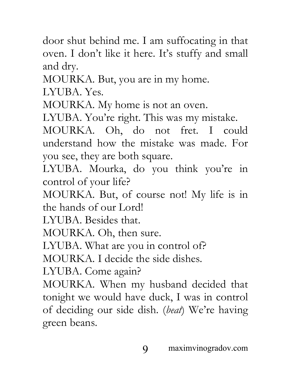door shut behind me. I am suffocating in that oven. I don't like it here. It's stuffy and small and dry.

MOURKA. But, you are in my home.

LYUBA. Yes.

MOURKA. My home is not an oven.

LYUBA. You're right. This was my mistake.

MOURKA. Oh, do not fret. I could understand how the mistake was made. For you see, they are both square.

LYUBA. Mourka, do you think you're in control of your life?

MOURKA. But, of course not! My life is in the hands of our Lord!

LYUBA. Besides that.

MOURKA. Oh, then sure.

LYUBA. What are you in control of?

MOURKA. I decide the side dishes.

LYUBA. Come again?

MOURKA. When my husband decided that tonight we would have duck, I was in control of deciding our side dish. (*beat*) We're having green beans.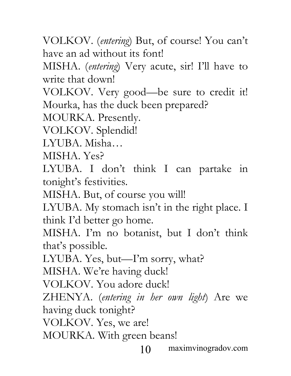VOLKOV. (*entering*) But, of course! You can't have an ad without its font!

MISHA. (*entering*) Very acute, sir! I'll have to write that down!

VOLKOV. Very good—be sure to credit it! Mourka, has the duck been prepared?

MOURKA. Presently.

VOLKOV. Splendid!

LYUBA. Misha…

MISHA. Yes?

LYUBA. I don't think I can partake in tonight's festivities.

MISHA. But, of course you will!

LYUBA. My stomach isn't in the right place. I think I'd better go home.

MISHA. I'm no botanist, but I don't think that's possible.

LYUBA. Yes, but—I'm sorry, what?

MISHA. We're having duck!

VOLKOV. You adore duck!

ZHENYA. (*entering in her own light*) Are we having duck tonight?

VOLKOV. Yes, we are!

MOURKA. With green beans!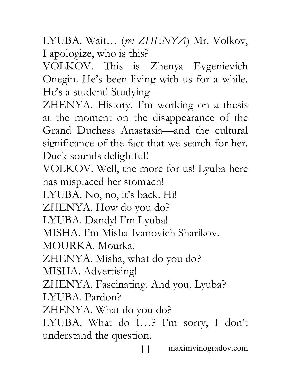LYUBA. Wait… (*re: ZHENYA*) Mr. Volkov, I apologize, who is this?

VOLKOV. This is Zhenya Evgenievich Onegin. He's been living with us for a while. He's a student! Studying—

ZHENYA. History. I'm working on a thesis at the moment on the disappearance of the Grand Duchess Anastasia—and the cultural significance of the fact that we search for her. Duck sounds delightful!

VOLKOV. Well, the more for us! Lyuba here has misplaced her stomach!

LYUBA. No, no, it's back. Hi!

ZHENYA. How do you do?

LYUBA. Dandy! I'm Lyuba!

MISHA. I'm Misha Ivanovich Sharikov.

MOURKA. Mourka.

ZHENYA. Misha, what do you do?

MISHA. Advertising!

ZHENYA. Fascinating. And you, Lyuba?

LYUBA. Pardon?

ZHENYA. What do you do?

LYUBA. What do I…? I'm sorry; I don't understand the question.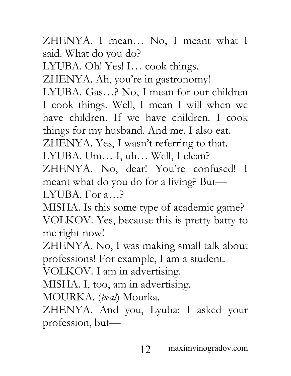ZHENYA. I mean… No, I meant what I said. What do you do?

LYUBA. Oh! Yes! I… cook things.

ZHENYA. Ah, you're in gastronomy!

LYUBA. Gas…? No, I mean for our children I cook things. Well, I mean I will when we have children. If we have children. I cook things for my husband. And me. I also eat.

ZHENYA. Yes, I wasn't referring to that. LYUBA. Um… I, uh… Well, I clean?

ZHENYA. No, dear! You're confused! I meant what do you do for a living? But— LYUBA. For a…?

MISHA. Is this some type of academic game? VOLKOV. Yes, because this is pretty batty to me right now!

ZHENYA. No, I was making small talk about professions! For example, I am a student.

VOLKOV. I am in advertising.

MISHA. I, too, am in advertising.

MOURKA. (*beat*) Mourka.

ZHENYA. And you, Lyuba: I asked your profession, but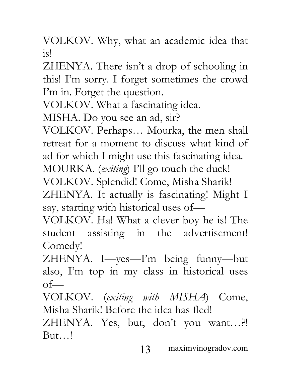VOLKOV. Why, what an academic idea that is!

ZHENYA. There isn't a drop of schooling in this! I'm sorry. I forget sometimes the crowd I'm in. Forget the question.

VOLKOV. What a fascinating idea.

MISHA. Do you see an ad, sir?

VOLKOV. Perhaps… Mourka, the men shall retreat for a moment to discuss what kind of ad for which I might use this fascinating idea.

MOURKA. (*exiting*) I'll go touch the duck!

VOLKOV. Splendid! Come, Misha Sharik!

ZHENYA. It actually is fascinating! Might I say, starting with historical uses of—

VOLKOV. Ha! What a clever boy he is! The student assisting in the advertisement! Comedy!

ZHENYA. I—yes—I'm being funny—but also, I'm top in my class in historical uses  $of$ —

VOLKOV. (*exiting with MISHA*) Come, Misha Sharik! Before the idea has fled!

ZHENYA. Yes, but, don't you want…?! But…!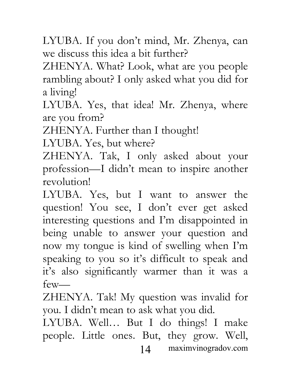LYUBA. If you don't mind, Mr. Zhenya, can we discuss this idea a bit further?

ZHENYA. What? Look, what are you people rambling about? I only asked what you did for a living!

LYUBA. Yes, that idea! Mr. Zhenya, where are you from?

ZHENYA. Further than I thought!

LYUBA. Yes, but where?

ZHENYA. Tak, I only asked about your profession—I didn't mean to inspire another revolution!

LYUBA. Yes, but I want to answer the question! You see, I don't ever get asked interesting questions and I'm disappointed in being unable to answer your question and now my tongue is kind of swelling when I'm speaking to you so it's difficult to speak and it's also significantly warmer than it was a few—

ZHENYA. Tak! My question was invalid for you. I didn't mean to ask what you did.

14 maximvinogradov.com LYUBA. Well… But I do things! I make people. Little ones. But, they grow. Well,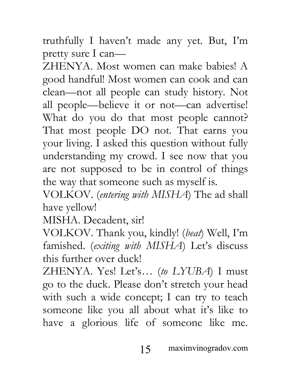truthfully I haven't made any yet. But, I'm pretty sure I can—

ZHENYA. Most women can make babies! A good handful! Most women can cook and can clean—not all people can study history. Not all people—believe it or not—can advertise! What do you do that most people cannot? That most people DO not. That earns you your living. I asked this question without fully understanding my crowd. I see now that you are not supposed to be in control of things the way that someone such as myself is.

VOLKOV. (*entering with MISHA*) The ad shall have yellow!

MISHA. Decadent, sir!

VOLKOV. Thank you, kindly! (*beat*) Well, I'm famished. (*exiting with MISHA*) Let's discuss this further over duck!

ZHENYA. Yes! Let's… (*to LYUBA*) I must go to the duck. Please don't stretch your head with such a wide concept; I can try to teach someone like you all about what it's like to have a glorious life of someone like me.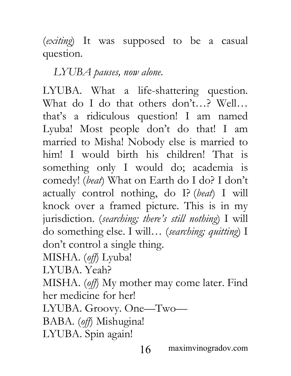(*exiting*) It was supposed to be a casual question.

*LYUBA pauses, now alone.*

LYUBA. What a life-shattering question. What do I do that others don't…? Well… that's a ridiculous question! I am named Lyuba! Most people don't do that! I am married to Misha! Nobody else is married to him! I would birth his children! That is something only I would do; academia is comedy! (*beat*) What on Earth do I do? I don't actually control nothing, do I? (*beat*) I will knock over a framed picture. This is in my jurisdiction. (*searching; there's still nothing*) I will do something else. I will… (*searching; quitting*) I don't control a single thing. MISHA. (*off*) Lyuba! LYUBA. Yeah? MISHA. (*off*) My mother may come later. Find her medicine for her! LYUBA. Groovy. One—Two—

BABA. (*off*) Mishugina!

LYUBA. Spin again!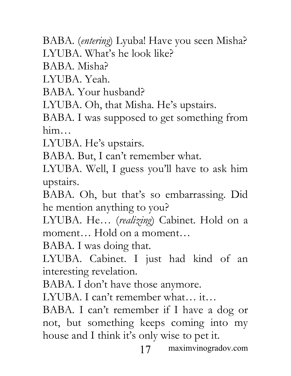BABA. (*entering*) Lyuba! Have you seen Misha? LYUBA. What's he look like?

BABA. Misha?

LYUBA. Yeah.

BABA. Your husband?

LYUBA. Oh, that Misha. He's upstairs.

BABA. I was supposed to get something from him…

LYUBA. He's upstairs.

BABA. But, I can't remember what.

LYUBA. Well, I guess you'll have to ask him upstairs.

BABA. Oh, but that's so embarrassing. Did he mention anything to you?

LYUBA. He… (*realizing*) Cabinet. Hold on a moment… Hold on a moment…

BABA. I was doing that.

LYUBA. Cabinet. I just had kind of an interesting revelation.

BABA. I don't have those anymore.

LYUBA. I can't remember what… it…

BABA. I can't remember if I have a dog or not, but something keeps coming into my house and I think it's only wise to pet it.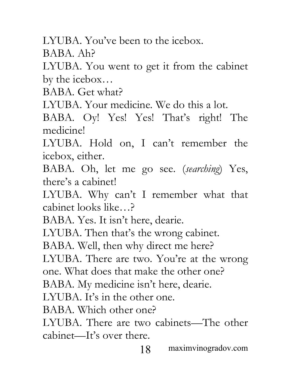LYUBA. You've been to the icebox.

BABA. Ah?

LYUBA. You went to get it from the cabinet by the icebox…

BABA. Get what?

LYUBA. Your medicine. We do this a lot.

BABA. Oy! Yes! Yes! That's right! The medicine!

LYUBA. Hold on, I can't remember the icebox, either.

BABA. Oh, let me go see. (*searching*) Yes, there's a cabinet!

LYUBA. Why can't I remember what that cabinet looks like…?

BABA. Yes. It isn't here, dearie.

LYUBA. Then that's the wrong cabinet.

BABA. Well, then why direct me here?

LYUBA. There are two. You're at the wrong one. What does that make the other one?

BABA. My medicine isn't here, dearie.

LYUBA. It's in the other one.

BABA. Which other one?

LYUBA. There are two cabinets—The other cabinet—It's over there.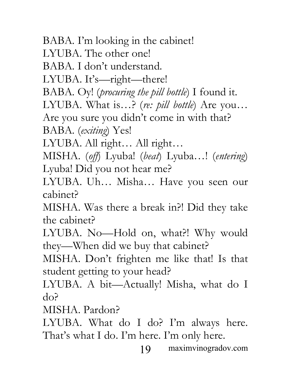BABA. I'm looking in the cabinet! LYUBA. The other one! BABA. I don't understand. LYUBA. It's—right—there! BABA. Oy! (*procuring the pill bottle*) I found it. LYUBA. What is…? (*re: pill bottle*) Are you… Are you sure you didn't come in with that? BABA. (*exiting*) Yes! LYUBA. All right… All right… MISHA. (*off*) Lyuba! (*beat*) Lyuba…! (*entering*) Lyuba! Did you not hear me? LYUBA. Uh… Misha… Have you seen our cabinet? MISHA. Was there a break in?! Did they take the cabinet?

LYUBA. No—Hold on, what?! Why would they—When did we buy that cabinet?

MISHA. Don't frighten me like that! Is that student getting to your head?

LYUBA. A bit—Actually! Misha, what do I do?

MISHA. Pardon?

LYUBA. What do I do? I'm always here. That's what I do. I'm here. I'm only here.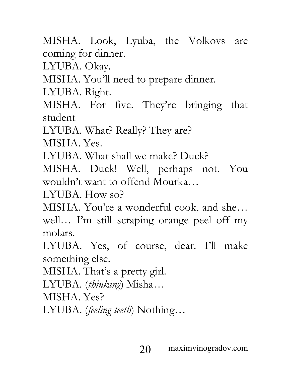MISHA. Look, Lyuba, the Volkovs are coming for dinner.

LYUBA. Okay.

MISHA. You'll need to prepare dinner.

LYUBA. Right.

MISHA. For five. They're bringing that student

LYUBA. What? Really? They are?

MISHA. Yes.

LYUBA. What shall we make? Duck?

MISHA. Duck! Well, perhaps not. You wouldn't want to offend Mourka…

LYUBA. How so?

MISHA. You're a wonderful cook, and she… well… I'm still scraping orange peel off my molars.

LYUBA. Yes, of course, dear. I'll make something else.

MISHA. That's a pretty girl.

LYUBA. (*thinking*) Misha…

MISHA. Yes?

LYUBA. (*feeling teeth*) Nothing…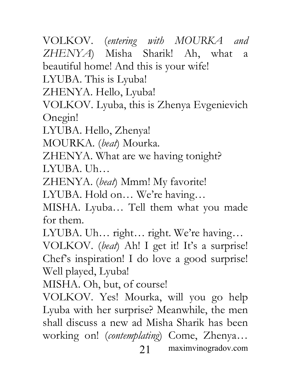VOLKOV. (*entering with MOURKA and ZHENYA*) Misha Sharik! Ah, what a beautiful home! And this is your wife!

LYUBA. This is Lyuba!

ZHENYA. Hello, Lyuba!

VOLKOV. Lyuba, this is Zhenya Evgenievich Onegin!

LYUBA. Hello, Zhenya!

MOURKA. (*beat*) Mourka.

ZHENYA. What are we having tonight? LYUBA. Uh…

ZHENYA. (*beat*) Mmm! My favorite!

LYUBA. Hold on… We're having…

MISHA. Lyuba… Tell them what you made for them.

LYUBA. Uh... right... right. We're having...

VOLKOV. (*beat*) Ah! I get it! It's a surprise! Chef's inspiration! I do love a good surprise! Well played, Lyuba!

MISHA. Oh, but, of course!

21 maximvinogradov.com VOLKOV. Yes! Mourka, will you go help Lyuba with her surprise? Meanwhile, the men shall discuss a new ad Misha Sharik has been working on! (*contemplating*) Come, Zhenya…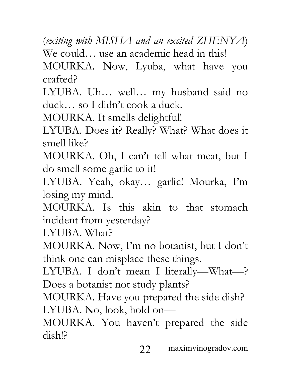(*exiting with MISHA and an excited ZHENYA*) We could… use an academic head in this!

MOURKA. Now, Lyuba, what have you crafted?

LYUBA. Uh… well… my husband said no duck… so I didn't cook a duck.

MOURKA. It smells delightful!

LYUBA. Does it? Really? What? What does it smell like?

MOURKA. Oh, I can't tell what meat, but I do smell some garlic to it!

LYUBA. Yeah, okay… garlic! Mourka, I'm losing my mind.

MOURKA. Is this akin to that stomach incident from yesterday?

LYUBA. What?

MOURKA. Now, I'm no botanist, but I don't think one can misplace these things.

LYUBA. I don't mean I literally—What—? Does a botanist not study plants?

MOURKA. Have you prepared the side dish? LYUBA. No, look, hold on—

MOURKA. You haven't prepared the side dish!?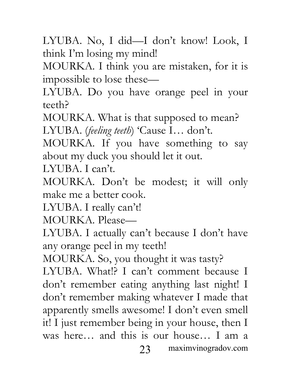LYUBA. No, I did—I don't know! Look, I think I'm losing my mind!

MOURKA. I think you are mistaken, for it is impossible to lose these—

LYUBA. Do you have orange peel in your teeth?

MOURKA. What is that supposed to mean? LYUBA. (*feeling teeth*) 'Cause I… don't.

MOURKA. If you have something to say about my duck you should let it out.

LYUBA. I can't.

MOURKA. Don't be modest; it will only make me a better cook.

LYUBA. I really can't!

MOURKA. Please—

LYUBA. I actually can't because I don't have any orange peel in my teeth!

23 maximvinogradov.com MOURKA. So, you thought it was tasty? LYUBA. What!? I can't comment because I don't remember eating anything last night! I don't remember making whatever I made that apparently smells awesome! I don't even smell it! I just remember being in your house, then I was here… and this is our house… I am a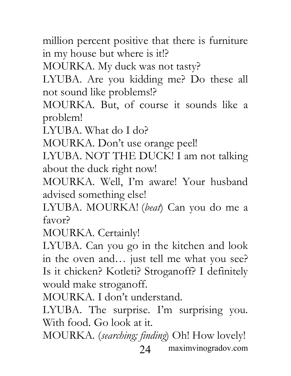million percent positive that there is furniture in my house but where is it!?

MOURKA. My duck was not tasty?

LYUBA. Are you kidding me? Do these all not sound like problems!?

MOURKA. But, of course it sounds like a problem!

LYUBA. What do I do?

MOURKA. Don't use orange peel!

LYUBA. NOT THE DUCK! I am not talking about the duck right now!

MOURKA. Well, I'm aware! Your husband advised something else!

LYUBA. MOURKA! (*beat*) Can you do me a favor?

MOURKA. Certainly!

LYUBA. Can you go in the kitchen and look in the oven and… just tell me what you see? Is it chicken? Kotleti? Stroganoff? I definitely would make stroganoff.

MOURKA. I don't understand.

LYUBA. The surprise. I'm surprising you. With food. Go look at it.

24 maximvinogradov.com MOURKA. (*searching; finding*) Oh! How lovely!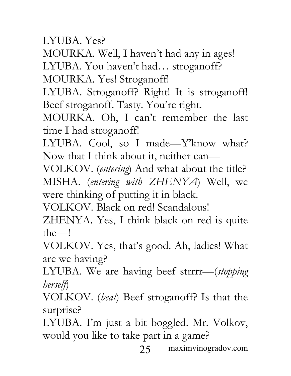LYUBA. Yes?

MOURKA. Well, I haven't had any in ages! LYUBA. You haven't had… stroganoff?

MOURKA. Yes! Stroganoff!

LYUBA. Stroganoff? Right! It is stroganoff! Beef stroganoff. Tasty. You're right.

MOURKA. Oh, I can't remember the last time I had stroganoff!

LYUBA. Cool, so I made—Y'know what? Now that I think about it, neither can—

VOLKOV. (*entering*) And what about the title? MISHA. (*entering with ZHENYA*) Well, we were thinking of putting it in black.

VOLKOV. Black on red! Scandalous!

ZHENYA. Yes, I think black on red is quite the—!

VOLKOV. Yes, that's good. Ah, ladies! What are we having?

LYUBA. We are having beef strrrr—(*stopping herself*)

VOLKOV. (*beat*) Beef stroganoff? Is that the surprise?

LYUBA. I'm just a bit boggled. Mr. Volkov, would you like to take part in a game?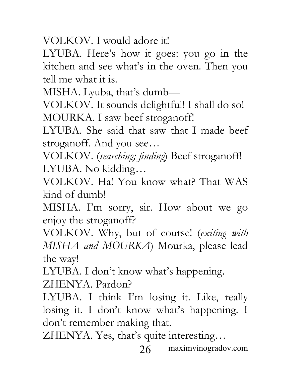VOLKOV. I would adore it!

LYUBA. Here's how it goes: you go in the kitchen and see what's in the oven. Then you tell me what it is.

MISHA. Lyuba, that's dumb—

VOLKOV. It sounds delightful! I shall do so! MOURKA. I saw beef stroganoff!

LYUBA. She said that saw that I made beef stroganoff. And you see…

VOLKOV. (*searching; finding*) Beef stroganoff! LYUBA. No kidding…

VOLKOV. Ha! You know what? That WAS kind of dumb!

MISHA. I'm sorry, sir. How about we go enjoy the stroganoff?

VOLKOV. Why, but of course! (*exiting with MISHA and MOURKA*) Mourka, please lead the way!

LYUBA. I don't know what's happening.

ZHENYA. Pardon?

LYUBA. I think I'm losing it. Like, really losing it. I don't know what's happening. I don't remember making that.

ZHENYA. Yes, that's quite interesting…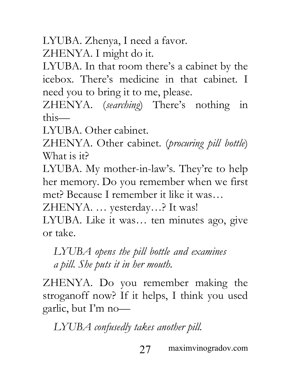LYUBA. Zhenya, I need a favor.

ZHENYA. I might do it.

LYUBA. In that room there's a cabinet by the icebox. There's medicine in that cabinet. I need you to bring it to me, please.

ZHENYA. (*searching*) There's nothing in this—

LYUBA. Other cabinet.

ZHENYA. Other cabinet. (*procuring pill bottle*) What is it?

LYUBA. My mother-in-law's. They're to help her memory. Do you remember when we first met? Because I remember it like it was…

ZHENYA. … yesterday…? It was!

LYUBA. Like it was… ten minutes ago, give or take.

*LYUBA opens the pill bottle and examines a pill. She puts it in her mouth.*

ZHENYA. Do you remember making the stroganoff now? If it helps, I think you used garlic, but I'm no—

*LYUBA confusedly takes another pill.*